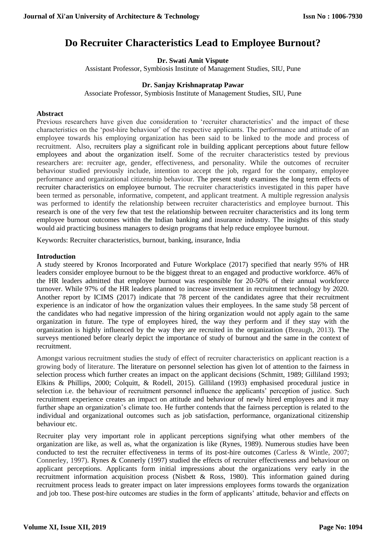# **Do Recruiter Characteristics Lead to Employee Burnout?**

**Dr. Swati Amit Vispute**

Assistant Professor, Symbiosis Institute of Management Studies, SIU, Pune

## **Dr. Sanjay Krishnapratap Pawar**

Associate Professor, Symbiosis Institute of Management Studies, SIU, Pune

## **Abstract**

Previous researchers have given due consideration to 'recruiter characteristics' and the impact of these characteristics on the 'post-hire behaviour' of the respective applicants. The performance and attitude of an employee towards his employing organization has been said to be linked to the mode and process of recruitment. Also, recruiters play a significant role in building applicant perceptions about future fellow employees and about the organization itself. Some of the recruiter characteristics tested by previous researchers are: recruiter age, gender, effectiveness, and personality. While the outcomes of recruiter behaviour studied previously include, intention to accept the job, regard for the company, employee performance and organizational citizenship behaviour. The present study examines the long term effects of recruiter characteristics on employee burnout. The recruiter characteristics investigated in this paper have been termed as personable, informative, competent, and applicant treatment. A multiple regression analysis was performed to identify the relationship between recruiter characteristics and employee burnout. This research is one of the very few that test the relationship between recruiter characteristics and its long term employee burnout outcomes within the Indian banking and insurance industry. The insights of this study would aid practicing business managers to design programs that help reduce employee burnout.

Keywords: Recruiter characteristics, burnout, banking, insurance, India

## **Introduction**

A study steered by Kronos Incorporated and Future Workplace (2017) specified that nearly 95% of HR leaders consider employee burnout to be the biggest threat to an engaged and productive workforce. 46% of the HR leaders admitted that employee burnout was responsible for 20-50% of their annual workforce turnover. While 97% of the HR leaders planned to increase investment in recruitment technology by 2020. Another report by ICIMS (2017) indicate that 78 percent of the candidates agree that their recruitment experience is an indicator of how the organization values their employees. In the same study 58 percent of the candidates who had negative impression of the hiring organization would not apply again to the same organization in future. The type of employees hired, the way they perform and if they stay with the organization is highly influenced by the way they are recruited in the organization (Breaugh, 2013). The surveys mentioned before clearly depict the importance of study of burnout and the same in the context of recruitment.

Amongst various recruitment studies the study of effect of recruiter characteristics on applicant reaction is a growing body of literature. The literature on personnel selection has given lot of attention to the fairness in selection process which further creates an impact on the applicant decisions (Schmitt, 1989; Gilliland 1993; Elkins & Phillips, 2000; Colquitt, & Rodell, 2015). Gilliland (1993) emphasised procedural justice in selection i.e. the behaviour of recruitment personnel influence the applicants' perception of justice. Such recruitment experience creates an impact on attitude and behaviour of newly hired employees and it may further shape an organization's climate too. He further contends that the fairness perception is related to the individual and organizational outcomes such as job satisfaction, performance, organizational citizenship behaviour etc.

Recruiter play very important role in applicant perceptions signifying what other members of the organization are like, as well as, what the organization is like (Rynes, 1989). Numerous studies have been conducted to test the recruiter effectiveness in terms of its post-hire outcomes (Carless & Wintle, 2007; Connerley, 1997). Rynes & Connerly (1997) studied the effects of recruiter effectiveness and behaviour on applicant perceptions. Applicants form initial impressions about the organizations very early in the recruitment information acquisition process (Nisbett & Ross, 1980). This information gained during recruitment process leads to greater impact on later impressions employees forms towards the organization and job too. These post-hire outcomes are studies in the form of applicants' attitude, behavior and effects on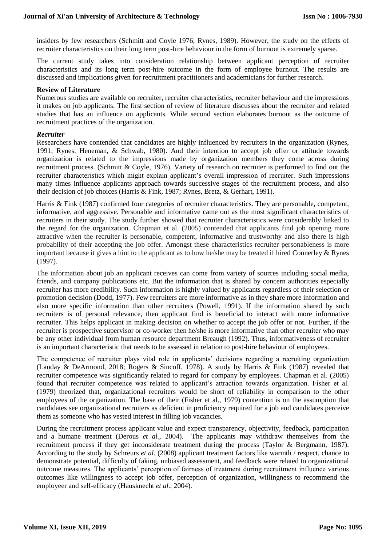insiders by few researchers (Schmitt and Coyle 1976; Rynes, 1989). However, the study on the effects of recruiter characteristics on their long term post-hire behaviour in the form of burnout is extremely sparse.

The current study takes into consideration relationship between applicant perception of recruiter characteristics and its long term post-hire outcome in the form of employee burnout. The results are discussed and implications given for recruitment practitioners and academicians for further research.

#### **Review of Literature**

Numerous studies are available on recruiter, recruiter characteristics, recruiter behaviour and the impressions it makes on job applicants. The first section of review of literature discusses about the recruiter and related studies that has an influence on applicants. While second section elaborates burnout as the outcome of recruitment practices of the organization.

#### *Recruiter*

Researchers have contended that candidates are highly influenced by recruiters in the organization (Rynes, 1991; Rynes, Heneman, & Schwab, 1980). And their intention to accept job offer or attitude towards organization is related to the impressions made by organization members they come across during recruitment process. (Schmitt & Coyle, 1976). Variety of research on recruiter is performed to find out the recruiter characteristics which might explain applicant's overall impression of recruiter. Such impressions many times influence applicants approach towards successive stages of the recruitment process, and also their decision of job choices (Harris & Fink, 1987; Rynes, Bretz, & Gerhart, 1991).

Harris & Fink (1987) confirmed four categories of recruiter characteristics. They are personable, competent, informative, and aggressive. Personable and informative came out as the most significant characteristics of recruiters in their study. The study further showed that recruiter characteristics were considerably linked to the regard for the organization. Chapman et al. (2005) contended that applicants find job opening more attractive when the recruiter is personable, competent, informative and trustworthy and also there is high probability of their accepting the job offer. Amongst these characteristics recruiter personableness is more important because it gives a hint to the applicant as to how he/she may be treated if hired Connerley & Rynes (1997).

The information about job an applicant receives can come from variety of sources including social media, friends, and company publications etc. But the information that is shared by concern authorities especially recruiter has more credibility. Such information is highly valued by applicants regardless of their selection or promotion decision (Dodd, 1977). Few recruiters are more informative as in they share more information and also more specific information than other recruiters (Powell, 1991). If the information shared by such recruiters is of personal relevance, then applicant find is beneficial to interact with more informative recruiter. This helps applicant in making decision on whether to accept the job offer or not. Further, if the recruiter is prospective supervisor or co-worker then he/she is more informative than other recruiter who may be any other individual from human resource department Breaugh (1992). Thus, informativeness of recruiter is an important characteristic that needs to be assessed in relation to post-hire behaviour of employees.

The competence of recruiter plays vital role in applicants' decisions regarding a recruiting organization (Landay & DeArmond, 2018; Rogers & Sincoff, 1978). A study by Harris & Fink (1987) revealed that recruiter competence was significantly related to regard for company by employees. Chapman et al. (2005) found that recruiter competence was related to applicant's attraction towards organization. Fisher et al. (1979) theorized that, organizational recruiters would be short of reliability in comparison to the other employees of the organization. The base of their (Fisher et al., 1979) contention is on the assumption that candidates see organizational recruiters as deficient in proficiency required for a job and candidates perceive them as someone who has vested interest in filling job vacancies.

During the recruitment process applicant value and expect transparency, objectivity, feedback, participation and a humane treatment (Derous *et al.,* 2004). The applicants may withdraw themselves from the recruitment process if they get inconsiderate treatment during the process (Taylor & Bergmann, 1987). According to the study by Schreurs *et al*. (2008) applicant treatment factors like warmth / respect, chance to demonstrate potential, difficulty of faking, unbiased assessment, and feedback were related to organizational outcome measures. The applicants' perception of fairness of treatment during recruitment influence various outcomes like willingness to accept job offer, perception of organization, willingness to recommend the employeer and self-efficacy (Hausknecht *et al*., 2004).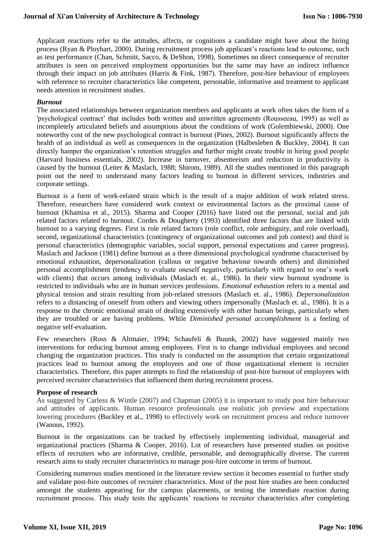Applicant reactions refer to the attitudes, affects, or cognitions a candidate might have about the hiring process (Ryan & Ployhart, 2000). During recruitment process job applicant's reactions lead to outcome, such as test performance (Chan, Schmitt, Sacco, & DeShon, 1998), Sometimes no direct consequence of recruiter attributes is seen on perceived employment opportunities but the same may have an indirect influence through their impact on job attributes (Harris & Fink, 1987). Therefore, post-hire behaviour of employees with reference to recruiter characteristics like competent, personable, informative and treatment to applicant needs attention in recruitment studies.

#### *Burnout*

The associated relationships between organization members and applicants at work often takes the form of a 'psychological contract' that includes both written and unwritten agreements (Rousseeau, 1995) as well as incompletely articulated beliefs and assumptions about the conditions of work (Golembiewski, 2000). One noteworthy cost of the new psychological contract is burnout (Pines, 2002). Burnout significantly affects the health of an individual as well as consequences in the organization (Halbesleben & Buckley, 2004). It can directly hamper the organization's retention struggles and further might create trouble in hiring good people (Harvard business essentials, 2002). Increase in turnover, absenteeism and reduction in productivity is caused by the burnout (Leiter & Maslach, 1988; Shirom, 1989). All the studies mentioned in this paragraph point out the need to understand many factors leading to burnout in different services, industries and corporate settings.

Burnout is a form of work-related strain which is the result of a major addition of work related stress. Therefore, researchers have considered work context or environmental factors as the proximal cause of burnout (Khamisa et al., 2015). Sharma and Cooper (2016) have listed out the personal, social and job related factors related to burnout. Cordes & Dougherty (1993) identified three factors that are linked with burnout to a varying degrees. First is role related factors (role conflict, role ambiguity, and role overload), second, organizational characteristics (contingency of organizational outcomes and job context) and third is personal characteristics (demographic variables, social support, personal expectations and career progress). Maslach and Jackson (1981) define burnout as a three dimensional psychological syndrome characterised by emotional exhaustion, depersonalization (callous or negative behaviour towards others) and diminished personal accomplishment (tendency to evaluate oneself negatively, particularly with regard to one's work with clients) that occurs among individuals (Maslach et. al., 1986). In their view burnout syndrome is restricted to individuals who are in human services professions. *Emotional exhaustion* refers to a mental and physical tension and strain resulting from job-related stressors (Maslach et. al., 1986). *Depersonalization*  refers to a distancing of oneself from others and viewing others impersonally (Maslach et. al., 1986). It is a response to the chronic emotional strain of dealing extensively with other human beings, particularly when they are troubled or are having problems. While *Diminished personal accomplishment* is a feeling of negative self-evaluation.

Few researchers (Ross & Altmaier, 1994; Schaufeli & Buunk, 2002) have suggested mainly two interventions for reducing burnout among employees. First is to change individual employees and second changing the organization practices. This study is conducted on the assumption that certain organizational practices lead to burnout among the employees and one of those organizational element is recruiter characteristics. Therefore, this paper attempts to find the relationship of post-hire burnout of employees with perceived recruiter characteristics that influenced them during recruitment process.

#### **Purpose of research**

As suggested by Carless & Wintle (2007) and Chapman (2005) it is important to study post hire behaviour and attitudes of applicants. Human resource professionals use realistic job preview and expectations lowering procedures (Buckley et al., 1998) to effectively work on recruitment process and reduce turnover (Wanous, 1992).

Burnout in the organizations can be tracked by effectively implementing individual, managerial and organizational practices (Sharma & Cooper, 2016). Lot of researchers have presented studies on positive effects of recruiters who are informative, credible, personable, and demographically diverse. The current research aims to study recruiter characteristics to manage post-hire outcome in terms of burnout.

Considering numerous studies mentioned in the literature review section it becomes essential to further study and validate post-hire outcomes of recruiter characteristics. Most of the post hire studies are been conducted amongst the students appearing for the campus placements, or testing the immediate reaction during recruitment process. This study tests the applicants' reactions to recruiter characteristics after completing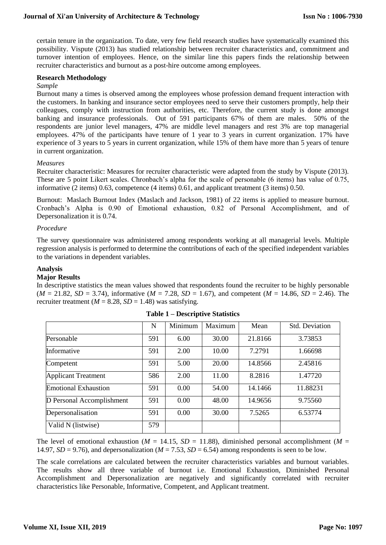certain tenure in the organization. To date, very few field research studies have systematically examined this possibility. Vispute (2013) has studied relationship between recruiter characteristics and, commitment and turnover intention of employees. Hence, on the similar line this papers finds the relationship between recruiter characteristics and burnout as a post-hire outcome among employees.

### **Research Methodology**

#### *Sample*

Burnout many a times is observed among the employees whose profession demand frequent interaction with the customers. In banking and insurance sector employees need to serve their customers promptly, help their colleagues, comply with instruction from authorities, etc. Therefore, the current study is done amongst banking and insurance professionals. Out of 591 participants 67% of them are males. 50% of the respondents are junior level managers, 47% are middle level managers and rest 3% are top managerial employees. 47% of the participants have tenure of 1 year to 3 years in current organization. 17% have experience of 3 years to 5 years in current organization, while 15% of them have more than 5 years of tenure in current organization.

#### *Measures*

Recruiter characteristic: Measures for recruiter characteristic were adapted from the study by Vispute (2013). These are 5 point Likert scales. Chronbach's alpha for the scale of personable (6 items) has value of 0.75, informative (2 items) 0.63, competence (4 items) 0.61, and applicant treatment (3 items) 0.50.

Burnout: Maslach Burnout Index (Maslach and Jackson, 1981) of 22 items is applied to measure burnout. Cronbach's Alpha is 0.90 of Emotional exhaustion, 0.82 of Personal Accomplishment, and of Depersonalization it is 0.74.

#### *Procedure*

The survey questionnaire was administered among respondents working at all managerial levels. Multiple regression analysis is performed to determine the contributions of each of the specified independent variables to the variations in dependent variables.

#### **Analysis**

## **Major Results**

In descriptive statistics the mean values showed that respondents found the recruiter to be highly personable  $(M = 21.82, SD = 3.74)$ , informative  $(M = 7.28, SD = 1.67)$ , and competent  $(M = 14.86, SD = 2.46)$ . The recruiter treatment ( $M = 8.28$ ,  $SD = 1.48$ ) was satisfying.

|                             | N   | Minimum | Maximum | Mean    | <b>Std. Deviation</b> |
|-----------------------------|-----|---------|---------|---------|-----------------------|
| Personable                  | 591 | 6.00    | 30.00   | 21.8166 | 3.73853               |
| Informative                 | 591 | 2.00    | 10.00   | 7.2791  | 1.66698               |
| Competent                   | 591 | 5.00    | 20.00   | 14.8566 | 2.45816               |
| <b>Applicant Treatment</b>  | 586 | 2.00    | 11.00   | 8.2816  | 1.47720               |
| <b>Emotional Exhaustion</b> | 591 | 0.00    | 54.00   | 14.1466 | 11.88231              |
| D Personal Accomplishment   | 591 | 0.00    | 48.00   | 14.9656 | 9.75560               |
| Depersonalisation           | 591 | 0.00    | 30.00   | 7.5265  | 6.53774               |
| Valid N (listwise)          | 579 |         |         |         |                       |

#### **Table 1 – Descriptive Statistics**

The level of emotional exhaustion ( $M = 14.15$ ,  $SD = 11.88$ ), diminished personal accomplishment ( $M =$ 14.97,  $SD = 9.76$ ), and depersonalization ( $M = 7.53$ ,  $SD = 6.54$ ) among respondents is seen to be low.

The scale correlations are calculated between the recruiter characteristics variables and burnout variables. The results show all three variable of burnout i.e. Emotional Exhaustion, Diminished Personal Accomplishment and Depersonalization are negatively and significantly correlated with recruiter characteristics like Personable, Informative, Competent, and Applicant treatment.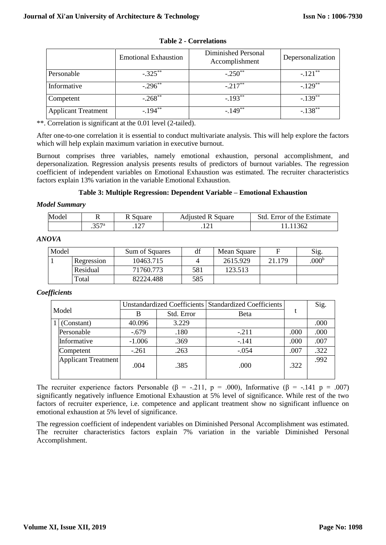|                            | <b>Emotional Exhaustion</b> | Diminished Personal<br>Accomplishment | Depersonalization     |
|----------------------------|-----------------------------|---------------------------------------|-----------------------|
| Personable                 | $-.325***$                  | $-.250$ <sup>**</sup>                 | $-.121***$            |
| Informative                | $-.296$ **                  | $-.217***$                            | $-.129***$            |
| Competent                  | $-.268**$                   | $-.193**$                             | $-.139$ <sup>**</sup> |
| <b>Applicant Treatment</b> | $-194**$                    | $-149**$                              | $-.138**$             |

| <b>Table 2 - Correlations</b> |  |  |  |  |
|-------------------------------|--|--|--|--|
|-------------------------------|--|--|--|--|

\*\*. Correlation is significant at the 0.01 level (2-tailed).

After one-to-one correlation it is essential to conduct multivariate analysis. This will help explore the factors which will help explain maximum variation in executive burnout.

Burnout comprises three variables, namely emotional exhaustion, personal accomplishment, and depersonalization. Regression analysis presents results of predictors of burnout variables. The regression coefficient of independent variables on Emotional Exhaustion was estimated. The recruiter characteristics factors explain 13% variation in the variable Emotional Exhaustion.

## **Table 3: Multiple Regression: Dependent Variable – Emotional Exhaustion**

#### *Model Summary*

| Model | ∽<br>** | 111010<br>Square         | Square<br>Adjusted | Std<br>Estimate<br>Error of<br>the |
|-------|---------|--------------------------|--------------------|------------------------------------|
|       | $\sim$  | $\sim$<br>. . <i>. .</i> | .                  |                                    |

### *ANOVA*

| Model |            | Sum of Squares |     | Mean Square |        | Sig.              |
|-------|------------|----------------|-----|-------------|--------|-------------------|
|       | Regression | 10463.715      |     | 2615.929    | 21.179 | .000 <sup>b</sup> |
|       | Residual   | 71760.773      | 581 | 123.513     |        |                   |
|       | Total      | 82224.488      | 585 |             |        |                   |

## *Coefficients*

|  |                            |          |            | Unstandardized Coefficients   Standardized Coefficients |      | Sig. |
|--|----------------------------|----------|------------|---------------------------------------------------------|------|------|
|  | Model                      | B        | Std. Error | <b>B</b> eta                                            |      |      |
|  | (Constant)                 | 40.096   | 3.229      |                                                         |      | .000 |
|  | Personable                 | $-.679$  | .180       | $-.211$                                                 | .000 | .000 |
|  | Informative                | $-1.006$ | .369       | $-.141$                                                 | .000 | .007 |
|  | Competent                  | $-.261$  | .263       | $-.054$                                                 | .007 | .322 |
|  | <b>Applicant Treatment</b> | .004     | .385       | .000                                                    | .322 | .992 |
|  |                            |          |            |                                                         |      |      |

The recruiter experience factors Personable ( $\beta$  = -.211, p = .000), Informative ( $\beta$  = -.141 p = .007) significantly negatively influence Emotional Exhaustion at 5% level of significance. While rest of the two factors of recruiter experience, i.e. competence and applicant treatment show no significant influence on emotional exhaustion at 5% level of significance.

The regression coefficient of independent variables on Diminished Personal Accomplishment was estimated. The recruiter characteristics factors explain 7% variation in the variable Diminished Personal Accomplishment.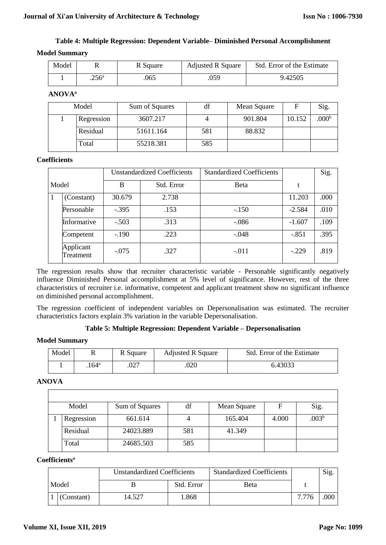## **Table 4: Multiple Regression: Dependent Variable– Diminished Personal Accomplishment Model Summary**

| Model |                | R Square | <b>Adjusted R Square</b> | Std. Error of the Estimate |
|-------|----------------|----------|--------------------------|----------------------------|
|       | $.256^{\circ}$ | 065      | .059                     | 9.42505                    |

**ANOVA<sup>a</sup>**

| Model |            | Sum of Squares | df  | Mean Square | F      | Sig.              |
|-------|------------|----------------|-----|-------------|--------|-------------------|
|       | Regression | 3607.217       |     | 901.804     | 10.152 | .000 <sup>b</sup> |
|       | Residual   | 51611.164      | 581 | 88.832      |        |                   |
|       | Total      | 55218.381      | 585 |             |        |                   |

#### **Coefficients**

|       |                        |         | <b>Unstandardized Coefficients</b> | <b>Standardized Coefficients</b> |          | Sig. |
|-------|------------------------|---------|------------------------------------|----------------------------------|----------|------|
| Model |                        | B       | Std. Error                         | <b>B</b> eta                     | t        |      |
|       | (Constant)             | 30.679  | 2.738                              |                                  | 11.203   | .000 |
|       | Personable             | $-.395$ | .153                               | $-.150$                          | $-2.584$ | .010 |
|       | Informative            | $-.503$ | .313                               | $-.086$                          | $-1.607$ | .109 |
|       | Competent              | $-.190$ | .223                               | $-.048$                          | $-.851$  | .395 |
|       | Applicant<br>Treatment | $-.075$ | .327                               | $-.011$                          | $-.229$  | .819 |

The regression results show that recruiter characteristic variable - Personable significantly negatively influence Diminished Personal accomplishment at 5% level of significance. However, rest of the three characteristics of recruiter i.e. informative, competent and applicant treatment show no significant influence on diminished personal accomplishment.

The regression coefficient of independent variables on Depersonalisation was estimated. The recruiter characteristics factors explain 3% variation in the variable Depersonalisation.

## **Table 5: Multiple Regression: Dependent Variable – Depersonalisation**

## **Model Summary**

| Model |               | R Square | <b>Adjusted R Square</b> | Std. Error of the Estimate |
|-------|---------------|----------|--------------------------|----------------------------|
|       | $164^{\rm a}$ | .027     | 020                      | 6.43033                    |

## **ANOVA**

| Model      | Sum of Squares | df  | Mean Square | F     | Sig.           |
|------------|----------------|-----|-------------|-------|----------------|
| Regression | 661.614        | 4   | 165.404     | 4.000 | $.003^{\rm b}$ |
| Residual   | 24023.889      | 581 | 41.349      |       |                |
| Total      | 24685.503      | 585 |             |       |                |

## **Coefficients<sup>a</sup>**

|  |            | <b>Unstandardized Coefficients</b> |            | <b>Standardized Coefficients</b> |       | Sig.     |
|--|------------|------------------------------------|------------|----------------------------------|-------|----------|
|  | Model      |                                    | Std. Error | Beta                             |       |          |
|  | (Constant) | 14.527                             | .868       |                                  | 7.776 | $.000$ . |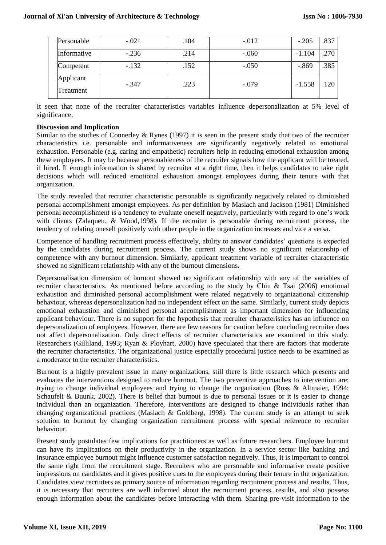| Personable             | $-.021$ | .104 | $-0.012$ | $-.205$  | .837 |
|------------------------|---------|------|----------|----------|------|
| Informative            | $-.236$ | .214 | $-.060$  | $-1.104$ | .270 |
| Competent              | $-.132$ | .152 | $-.050$  | $-0.869$ | .385 |
| Applicant<br>Treatment | $-.347$ | .223 | $-.079$  | $-1.558$ | 120  |

It seen that none of the recruiter characteristics variables influence depersonalization at 5% level of significance.

#### **Discussion and Implication**

Similar to the studies of Connerley  $&$  Rynes (1997) it is seen in the present study that two of the recruiter characteristics i.e. personable and informativeness are significantly negatively related to emotional exhaustion. Personable (e.g. caring and empathetic) recruiters help in reducing emotional exhaustion among these employees. It may be because personableness of the recruiter signals how the applicant will be treated, if hired. If enough information is shared by recruiter at a right time, then it helps candidates to take right decisions which will reduced emotional exhaustion amongst employees during their tenure with that organization.

The study revealed that recruiter characteristic personable is significantly negatively related to diminished personal accomplishment amongst employees. As per definition by Maslach and Jackson (1981) Diminished personal accomplishment is a tendency to evaluate oneself negatively, particularly with regard to one's work with clients (Zalaquett, & Wood,1998). If the recruiter is personable during recruitment process, the tendency of relating oneself positively with other people in the organization increases and vice a versa.

Competence of handling recruitment process effectively, ability to answer candidates' questions is expected by the candidates during recruitment process. The current study shows no significant relationship of competence with any burnout dimension. Similarly, applicant treatment variable of recruiter characteristic showed no significant relationship with any of the burnout dimensions.

Depersonalisation dimension of burnout showed no significant relationship with any of the variables of recruiter characteristics. As mentioned before according to the study by Chiu & Tsai (2006) emotional exhaustion and diminished personal accomplishment were related negatively to organizational citizenship behaviour, whereas depersonalization had no independent effect on the same. Similarly, current study depicts emotional exhaustion and diminished personal accomplishment as important dimension for influencing applicant behaviour. There is no support for the hypothesis that recruiter characteristics has an influence on depersonalization of employees. However, there are few reasons for caution before concluding recruiter does not affect depersonalization. Only direct effects of recruiter characteristics are examined in this study. Researchers (Gilliland, 1993; Ryan & Ployhart, 2000) have speculated that there are factors that moderate the recruiter characteristics. The organizational justice especially procedural justice needs to be examined as a moderator to the recruiter characteristics.

Burnout is a highly prevalent issue in many organizations, still there is little research which presents and evaluates the interventions designed to reduce burnout. The two preventive approaches to intervention are; trying to change individual employees and trying to change the organization (Ross & Altmaier, 1994; Schaufeli & Buunk, 2002). There is belief that burnout is due to personal issues or it is easier to change individual than an organization. Therefore, interventions are designed to change individuals rather than changing organizational practices (Maslach & Goldberg, 1998). The current study is an attempt to seek solution to burnout by changing organization recruitment process with special reference to recruiter behaviour.

Present study postulates few implications for practitioners as well as future researchers. Employee burnout can have its implications on their productivity in the organization. In a service sector like banking and insurance employee burnout might influence customer satisfaction negatively. Thus, it is important to control the same right from the recruitment stage. Recruiters who are personable and informative create positive impressions on candidates and it gives positive cues to the employees during their tenure in the organization. Candidates view recruiters as primary source of information regarding recruitment process and results. Thus, it is necessary that recruiters are well informed about the recruitment process, results, and also possess enough information about the candidates before interacting with them. Sharing pre-visit information to the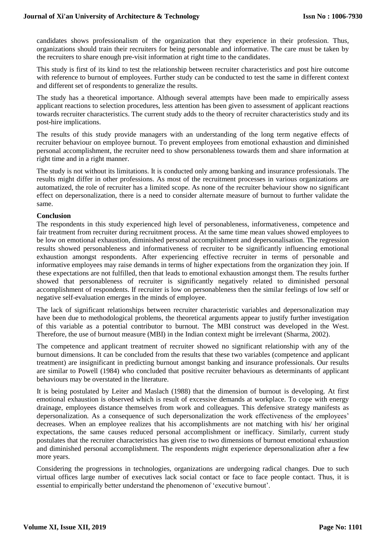candidates shows professionalism of the organization that they experience in their profession. Thus, organizations should train their recruiters for being personable and informative. The care must be taken by the recruiters to share enough pre-visit information at right time to the candidates.

This study is first of its kind to test the relationship between recruiter characteristics and post hire outcome with reference to burnout of employees. Further study can be conducted to test the same in different context and different set of respondents to generalize the results.

The study has a theoretical importance. Although several attempts have been made to empirically assess applicant reactions to selection procedures, less attention has been given to assessment of applicant reactions towards recruiter characteristics. The current study adds to the theory of recruiter characteristics study and its post-hire implications.

The results of this study provide managers with an understanding of the long term negative effects of recruiter behaviour on employee burnout. To prevent employees from emotional exhaustion and diminished personal accomplishment, the recruiter need to show personableness towards them and share information at right time and in a right manner.

The study is not without its limitations. It is conducted only among banking and insurance professionals. The results might differ in other professions. As most of the recruitment processes in various organizations are automatized, the role of recruiter has a limited scope. As none of the recruiter behaviour show no significant effect on depersonalization, there is a need to consider alternate measure of burnout to further validate the same.

## **Conclusion**

The respondents in this study experienced high level of personableness, informativeness, competence and fair treatment from recruiter during recruitment process. At the same time mean values showed employees to be low on emotional exhaustion, diminished personal accomplishment and depersonalisation. The regression results showed personableness and informativeness of recruiter to be significantly influencing emotional exhaustion amongst respondents. After experiencing effective recruiter in terms of personable and informative employees may raise demands in terms of higher expectations from the organization they join. If these expectations are not fulfilled, then that leads to emotional exhaustion amongst them. The results further showed that personableness of recruiter is significantly negatively related to diminished personal accomplishment of respondents. If recruiter is low on personableness then the similar feelings of low self or negative self-evaluation emerges in the minds of employee.

The lack of significant relationships between recruiter characteristic variables and depersonalization may have been due to methodological problems, the theoretical arguments appear to justify further investigation of this variable as a potential contributor to burnout. The MBI construct was developed in the West. Therefore, the use of burnout measure (MBI) in the Indian context might be irrelevant (Sharma, 2002).

The competence and applicant treatment of recruiter showed no significant relationship with any of the burnout dimensions. It can be concluded from the results that these two variables (competence and applicant treatment) are insignificant in predicting burnout amongst banking and insurance professionals. Our results are similar to Powell (1984) who concluded that positive recruiter behaviours as determinants of applicant behaviours may be overstated in the literature.

It is being postulated by Leiter and Maslach (1988) that the dimension of burnout is developing. At first emotional exhaustion is observed which is result of excessive demands at workplace. To cope with energy drainage, employees distance themselves from work and colleagues. This defensive strategy manifests as depersonalization. As a consequence of such depersonalization the work effectiveness of the employees' decreases. When an employee realizes that his accomplishments are not matching with his/ her original expectations, the same causes reduced personal accomplishment or inefficacy. Similarly, current study postulates that the recruiter characteristics has given rise to two dimensions of burnout emotional exhaustion and diminished personal accomplishment. The respondents might experience depersonalization after a few more years.

Considering the progressions in technologies, organizations are undergoing radical changes. Due to such virtual offices large number of executives lack social contact or face to face people contact. Thus, it is essential to empirically better understand the phenomenon of 'executive burnout'.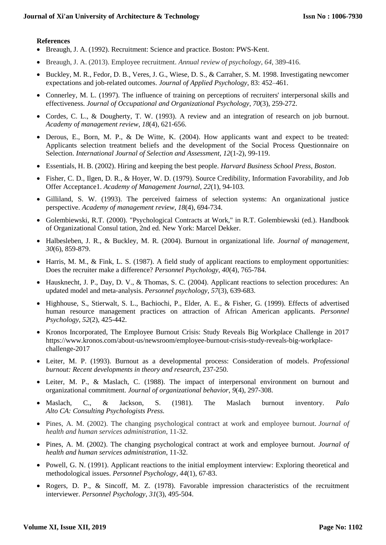### **References**

- Breaugh, J. A. (1992). Recruitment: Science and practice. Boston: PWS-Kent.
- Breaugh, J. A. (2013). Employee recruitment. *Annual review of psychology*, *64*, 389-416.
- Buckley, M. R., Fedor, D. B., Veres, J. G., Wiese, D. S., & Carraher, S. M. 1998. Investigating newcomer expectations and job-related outcomes. *Journal of Applied Psychology*, 83: 452–461.
- Connerley, M. L. (1997). The influence of training on perceptions of recruiters' interpersonal skills and effectiveness. *Journal of Occupational and Organizational Psychology*, *70*(3), 259-272.
- Cordes, C. L., & Dougherty, T. W. (1993). A review and an integration of research on job burnout. *Academy of management review*, *18*(4), 621-656.
- Derous, E., Born, M. P., & De Witte, K. (2004). How applicants want and expect to be treated: Applicants selection treatment beliefs and the development of the Social Process Questionnaire on Selection. *International Journal of Selection and Assessment*, *12*(1-2), 99-119.
- Essentials, H. B. (2002). Hiring and keeping the best people. *Harvard Business School Press, Boston*.
- Fisher, C. D., Ilgen, D. R., & Hoyer, W. D. (1979). Source Credibility, Information Favorability, and Job Offer Acceptance1. *Academy of Management Journal*, *22*(1), 94-103.
- Gilliland, S. W. (1993). The perceived fairness of selection systems: An organizational justice perspective. *Academy of management review*, *18*(4), 694-734.
- Golembiewski, R.T. (2000). "Psychological Contracts at Work," in R.T. Golembiewski (ed.). Handbook of Organizational Consul tation, 2nd ed. New York: Marcel Dekker.
- Halbesleben, J. R., & Buckley, M. R. (2004). Burnout in organizational life. *Journal of management*, *30*(6), 859-879.
- Harris, M. M., & Fink, L. S. (1987). A field study of applicant reactions to employment opportunities: Does the recruiter make a difference? *Personnel Psychology*, *40*(4), 765-784.
- Hausknecht, J. P., Day, D. V., & Thomas, S. C. (2004). Applicant reactions to selection procedures: An updated model and meta‐analysis. *Personnel psychology*, *57*(3), 639-683.
- Highhouse, S., Stierwalt, S. L., Bachiochi, P., Elder, A. E., & Fisher, G. (1999). Effects of advertised human resource management practices on attraction of African American applicants. *Personnel Psychology*, *52*(2), 425-442.
- Kronos Incorporated, The Employee Burnout Crisis: Study Reveals Big Workplace Challenge in 2017 https://www.kronos.com/about-us/newsroom/employee-burnout-crisis-study-reveals-big-workplacechallenge-2017
- Leiter, M. P. (1993). Burnout as a developmental process: Consideration of models. *Professional burnout: Recent developments in theory and research*, 237-250.
- Leiter, M. P., & Maslach, C. (1988). The impact of interpersonal environment on burnout and organizational commitment. *Journal of organizational behavior*, *9*(4), 297-308.
- Maslach, C., & Jackson, S. (1981). The Maslach burnout inventory. *Palo Alto CA: Consulting Psychologists Press.*
- Pines, A. M. (2002). The changing psychological contract at work and employee burnout. *Journal of health and human services administration*, 11-32.
- Pines, A. M. (2002). The changing psychological contract at work and employee burnout. *Journal of health and human services administration*, 11-32.
- Powell, G. N. (1991). Applicant reactions to the initial employment interview: Exploring theoretical and methodological issues. *Personnel Psychology*, *44*(1), 67-83.
- Rogers, D. P., & Sincoff, M. Z. (1978). Favorable impression characteristics of the recruitment interviewer. *Personnel Psychology*, *31*(3), 495-504.